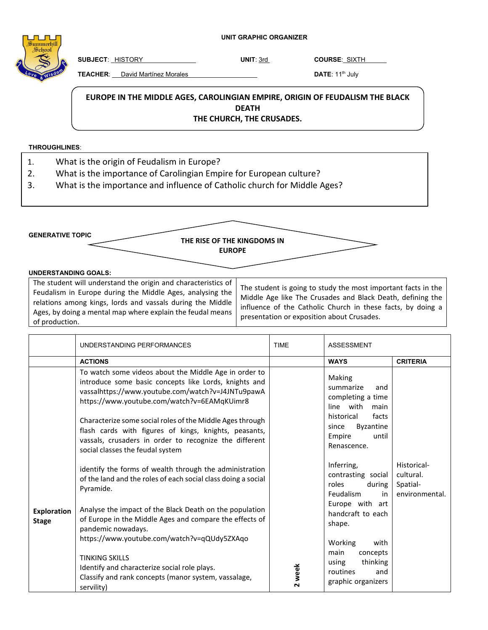**UNIT GRAPHIC ORGANIZER**

**SUBJECT**: \_HISTORY\_\_\_\_\_\_\_\_\_\_\_\_\_\_\_ **UNIT**: 3rd **COURSE**:\_SIXTH\_\_\_\_\_\_

**TEACHER**: David Martínez Morales **National Accord 2014** DATE: 11<sup>th</sup> July

## EUROPE IN THE MIDDLE AGES, CAROLINGIAN EMPIRE, ORIGIN OF FEUDALISM THE BLACK **DEATH THE CHURCH, THE CRUSADES.**

## **THROUGHLINES**:

- 1. What is the origin of Feudalism in Europe?
- 2. What is the importance of Carolingian Empire for European culture?
- 3. What is the importance and influence of Catholic church for Middle Ages?

**GENERATIVE TOPIC** 

**THE RISE OF THE KINGDOMS IN EUROPE**

## **UNDERSTANDING GOALS:**

| The student will understand the origin and characteristics of<br>Feudalism in Europe during the Middle Ages, analysing the<br>relations among kings, lords and vassals during the Middle<br>Ages, by doing a mental map where explain the feudal means<br>of production. | The student is going to study the most important facts in the<br>Middle Age like The Crusades and Black Death, defining the<br>influence of the Catholic Church in these facts, by doing a<br>presentation or exposition about Crusades. |
|--------------------------------------------------------------------------------------------------------------------------------------------------------------------------------------------------------------------------------------------------------------------------|------------------------------------------------------------------------------------------------------------------------------------------------------------------------------------------------------------------------------------------|
|--------------------------------------------------------------------------------------------------------------------------------------------------------------------------------------------------------------------------------------------------------------------------|------------------------------------------------------------------------------------------------------------------------------------------------------------------------------------------------------------------------------------------|

|                                    | UNDERSTANDING PERFORMANCES                                                                                                                                                                                         | <b>TIME</b> | <b>ASSESSMENT</b>                                                                  |                                                        |
|------------------------------------|--------------------------------------------------------------------------------------------------------------------------------------------------------------------------------------------------------------------|-------------|------------------------------------------------------------------------------------|--------------------------------------------------------|
|                                    | <b>ACTIONS</b>                                                                                                                                                                                                     |             | <b>WAYS</b>                                                                        | <b>CRITERIA</b>                                        |
|                                    | To watch some videos about the Middle Age in order to<br>introduce some basic concepts like Lords, knights and<br>vassalhttps://www.youtube.com/watch?v=J4JNTu9pawA<br>https://www.youtube.com/watch?v=6EAMqKUimr8 |             | Making<br>summarize<br>and<br>completing a time<br>line with<br>main               |                                                        |
|                                    | Characterize some social roles of the Middle Ages through<br>flash cards with figures of kings, knights, peasants,<br>vassals, crusaders in order to recognize the different<br>social classes the feudal system   |             | historical<br>facts<br><b>Byzantine</b><br>since<br>until<br>Empire<br>Renascence. |                                                        |
|                                    | identify the forms of wealth through the administration<br>of the land and the roles of each social class doing a social<br>Pyramide.                                                                              |             | Inferring,<br>contrasting social<br>roles<br>during<br>Feudalism<br>in             | Historical-<br>cultural.<br>Spatial-<br>environmental. |
| <b>Exploration</b><br><b>Stage</b> | Analyse the impact of the Black Death on the population<br>of Europe in the Middle Ages and compare the effects of<br>pandemic nowadays.<br>https://www.youtube.com/watch?v=qQUdy5ZXAqo                            |             | Europe with art<br>handcraft to each<br>shape.<br>Working<br>with                  |                                                        |
|                                    | <b>TINKING SKILLS</b><br>Identify and characterize social role plays.<br>Classify and rank concepts (manor system, vassalage,<br>servility)                                                                        | 2 week      | main<br>concepts<br>thinking<br>using<br>routines<br>and<br>graphic organizers     |                                                        |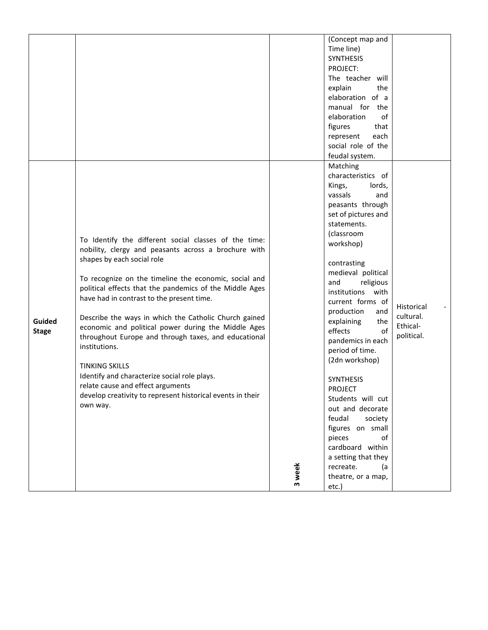|                        |                                                                                                                                                                                                                                                                                                                                                                                                                                                                                                                                                                                                                                                                                               |        | (Concept map and<br>Time line)<br><b>SYNTHESIS</b><br>PROJECT:<br>The teacher will<br>explain<br>the<br>elaboration of a<br>manual for the<br>elaboration<br>оf<br>that<br>figures<br>each<br>represent<br>social role of the<br>feudal system.                                                                                                                                                                                                                                                                                                                                                                       |                                                   |
|------------------------|-----------------------------------------------------------------------------------------------------------------------------------------------------------------------------------------------------------------------------------------------------------------------------------------------------------------------------------------------------------------------------------------------------------------------------------------------------------------------------------------------------------------------------------------------------------------------------------------------------------------------------------------------------------------------------------------------|--------|-----------------------------------------------------------------------------------------------------------------------------------------------------------------------------------------------------------------------------------------------------------------------------------------------------------------------------------------------------------------------------------------------------------------------------------------------------------------------------------------------------------------------------------------------------------------------------------------------------------------------|---------------------------------------------------|
| Guided<br><b>Stage</b> | To Identify the different social classes of the time:<br>nobility, clergy and peasants across a brochure with<br>shapes by each social role<br>To recognize on the timeline the economic, social and<br>political effects that the pandemics of the Middle Ages<br>have had in contrast to the present time.<br>Describe the ways in which the Catholic Church gained<br>economic and political power during the Middle Ages<br>throughout Europe and through taxes, and educational<br>institutions.<br><b>TINKING SKILLS</b><br>Identify and characterize social role plays.<br>relate cause and effect arguments<br>develop creativity to represent historical events in their<br>own way. | 3 week | Matching<br>characteristics of<br>Kings,<br>lords,<br>vassals<br>and<br>peasants through<br>set of pictures and<br>statements.<br>(classroom<br>workshop)<br>contrasting<br>medieval political<br>religious<br>and<br>institutions with<br>current forms of<br>production<br>and<br>explaining<br>the<br>effects<br>of<br>pandemics in each<br>period of time.<br>(2dn workshop)<br><b>SYNTHESIS</b><br><b>PROJECT</b><br>Students will cut<br>out and decorate<br>feudal<br>society<br>figures on small<br>pieces<br>of<br>cardboard within<br>a setting that they<br>recreate.<br>(a<br>theatre, or a map,<br>etc.) | Historical<br>cultural.<br>Ethical-<br>political. |